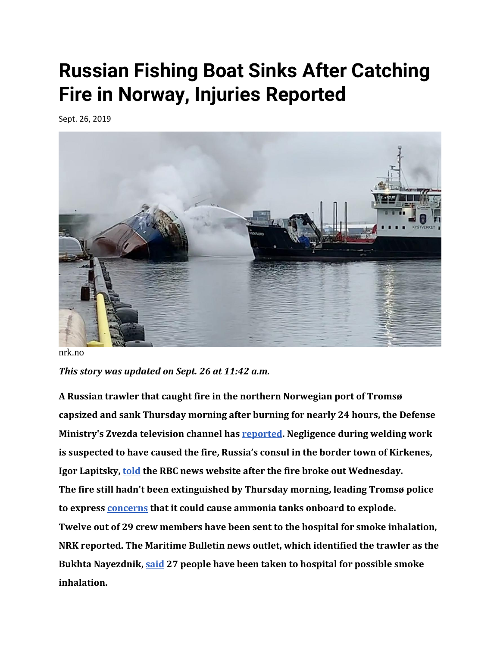## **Russian Fishing Boat Sinks After Catching Fire in Norway, Injuries Reported**

Sept. 26, 2019



nrk.no

*This story was updated on Sept. 26 at 11:42 a.m.*

**A Russian trawler that caught fire in the northern Norwegian port of Tromsø capsized and sank Thursday morning after burning for nearly 24 hours, the Defense Ministry's Zvezda television channel has [reported.](https://tvzvezda.ru/news/vstrane_i_mire/content/20199261022-w4KwB.html) Negligence during welding work is suspected to have caused the fire, Russia's consul in the border town of Kirkenes, Igor Lapitsky, [told](https://www.rbc.ru/society/25/09/2019/5d8b3e159a7947cd50860afa?from=newsfeed) the RBC news website after the fire broke out Wednesday. The fire still hadn't been extinguished by Thursday morning, leading Tromsø police to express [concerns](https://www.nrk.no/troms/den-brennende-traleren-i-tromso-har-kantret-1.14718437) that it could cause ammonia tanks onboard to explode. Twelve out of 29 crew members have been sent to the hospital for smoke inhalation, NRK reported. The Maritime Bulletin news outlet, which identified the trawler as the Bukhta Nayezdnik, [said](https://maritimebulletin.net/2019/09/25/russian-trawler-fire-tromso/) 27 people have been taken to hospital for possible smoke inhalation.**